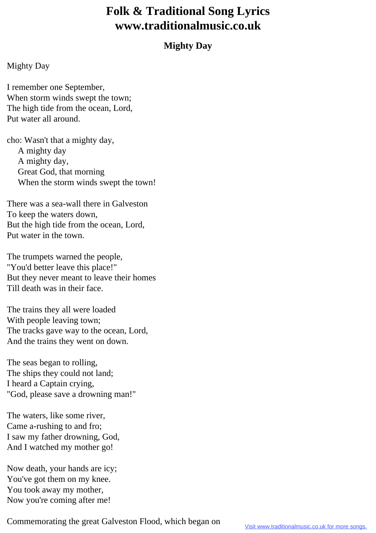## **Folk & Traditional Song Lyrics www.traditionalmusic.co.uk**

## **Mighty Day**

## Mighty Day

I remember one September, When storm winds swept the town; The high tide from the ocean, Lord, Put water all around.

cho: Wasn't that a mighty day, A mighty day A mighty day, Great God, that morning When the storm winds swept the town!

There was a sea-wall there in Galveston To keep the waters down, But the high tide from the ocean, Lord, Put water in the town.

The trumpets warned the people, "You'd better leave this place!" But they never meant to leave their homes Till death was in their face.

The trains they all were loaded With people leaving town; The tracks gave way to the ocean, Lord, And the trains they went on down.

The seas began to rolling, The ships they could not land; I heard a Captain crying, "God, please save a drowning man!"

The waters, like some river, Came a-rushing to and fro; I saw my father drowning, God, And I watched my mother go!

Now death, your hands are icy; You've got them on my knee. You took away my mother, Now you're coming after me!

Commemorating the great Galveston Flood, which began on